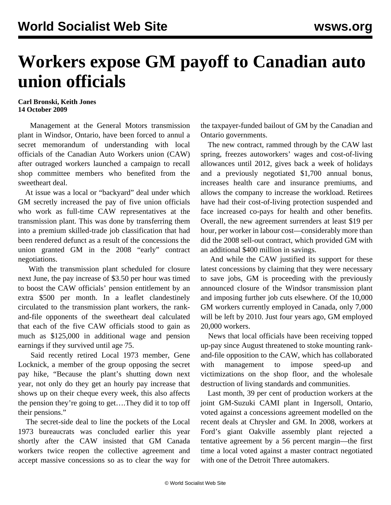## **Workers expose GM payoff to Canadian auto union officials**

## **Carl Bronski, Keith Jones 14 October 2009**

 Management at the General Motors transmission plant in Windsor, Ontario, have been forced to annul a secret memorandum of understanding with local officials of the Canadian Auto Workers union (CAW) after outraged workers launched a campaign to recall shop committee members who benefited from the sweetheart deal.

 At issue was a local or "backyard" deal under which GM secretly increased the pay of five union officials who work as full-time CAW representatives at the transmission plant. This was done by transferring them into a premium skilled-trade job classification that had been rendered defunct as a result of the concessions the union granted GM in the 2008 "early" contract negotiations.

 With the transmission plant scheduled for closure next June, the pay increase of \$3.50 per hour was timed to boost the CAW officials' pension entitlement by an extra \$500 per month. In a leaflet clandestinely circulated to the transmission plant workers, the rankand-file opponents of the sweetheart deal calculated that each of the five CAW officials stood to gain as much as \$125,000 in additional wage and pension earnings if they survived until age 75.

 Said recently retired Local 1973 member, Gene Locknick, a member of the group opposing the secret pay hike, "Because the plant's shutting down next year, not only do they get an hourly pay increase that shows up on their cheque every week, this also affects the pension they're going to get….They did it to top off their pensions."

 The secret-side deal to line the pockets of the Local 1973 bureaucrats was concluded earlier this year shortly after the CAW insisted that GM Canada workers twice reopen the collective agreement and accept massive concessions so as to clear the way for the taxpayer-funded bailout of GM by the Canadian and Ontario governments.

 The new contract, rammed through by the CAW last spring, freezes autoworkers' wages and cost-of-living allowances until 2012, gives back a week of holidays and a previously negotiated \$1,700 annual bonus, increases health care and insurance premiums, and allows the company to increase the workload. Retirees have had their cost-of-living protection suspended and face increased co-pays for health and other benefits. Overall, the new agreement surrenders at least \$19 per hour, per worker in labour cost—considerably more than did the 2008 sell-out contract, which provided GM with an additional \$400 million in savings.

 And while the CAW justified its support for these latest concessions by claiming that they were necessary to save jobs, GM is proceeding with the previously announced closure of the Windsor transmission plant and imposing further job cuts elsewhere. Of the 10,000 GM workers currently employed in Canada, only 7,000 will be left by 2010. Just four years ago, GM employed 20,000 workers.

 News that local officials have been receiving topped up-pay since August threatened to stoke mounting rankand-file opposition to the CAW, which has collaborated with management to impose speed-up and victimizations on the shop floor, and the wholesale destruction of living standards and communities.

 Last month, 39 per cent of production workers at the joint GM-Suzuki CAMI plant in Ingersoll, Ontario, voted against a concessions agreement modelled on the recent deals at Chrysler and GM. In 2008, workers at Ford's giant Oakville assembly plant rejected a tentative agreement by a 56 percent margin—the first time a local voted against a master contract negotiated with one of the Detroit Three automakers.